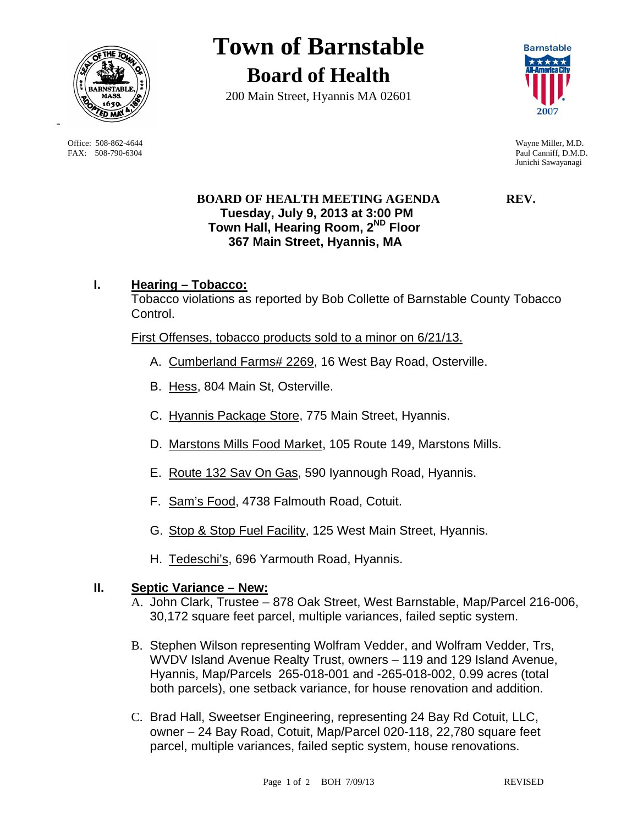

 Office: 508-862-4644 Wayne Miller, M.D. FAX: 508-790-6304 Paul Canniff, D.M.D.

# **Town of Barnstable Board of Health**

200 Main Street, Hyannis MA 02601



Junichi Sawayanagi

## **BOARD OF HEALTH MEETING AGENDA REV. Tuesday, July 9, 2013 at 3:00 PM Town Hall, Hearing Room, 2ND Floor 367 Main Street, Hyannis, MA**

# **I. Hearing – Tobacco:**

Tobacco violations as reported by Bob Collette of Barnstable County Tobacco Control.

First Offenses, tobacco products sold to a minor on 6/21/13.

- A. Cumberland Farms# 2269, 16 West Bay Road, Osterville.
- B. Hess, 804 Main St, Osterville.
- C. Hyannis Package Store, 775 Main Street, Hyannis.
- D. Marstons Mills Food Market, 105 Route 149, Marstons Mills.
- E. Route 132 Sav On Gas, 590 Iyannough Road, Hyannis.
- F. Sam's Food, 4738 Falmouth Road, Cotuit.
- G. Stop & Stop Fuel Facility, 125 West Main Street, Hyannis.
- H. Tedeschi's, 696 Yarmouth Road, Hyannis.

#### **II. Septic Variance – New:**

- A. John Clark, Trustee 878 Oak Street, West Barnstable, Map/Parcel 216-006, 30,172 square feet parcel, multiple variances, failed septic system.
- B. Stephen Wilson representing Wolfram Vedder, and Wolfram Vedder, Trs, WVDV Island Avenue Realty Trust, owners – 119 and 129 Island Avenue, Hyannis, Map/Parcels 265-018-001 and -265-018-002, 0.99 acres (total both parcels), one setback variance, for house renovation and addition.
- C. Brad Hall, Sweetser Engineering, representing 24 Bay Rd Cotuit, LLC, owner – 24 Bay Road, Cotuit, Map/Parcel 020-118, 22,780 square feet parcel, multiple variances, failed septic system, house renovations.